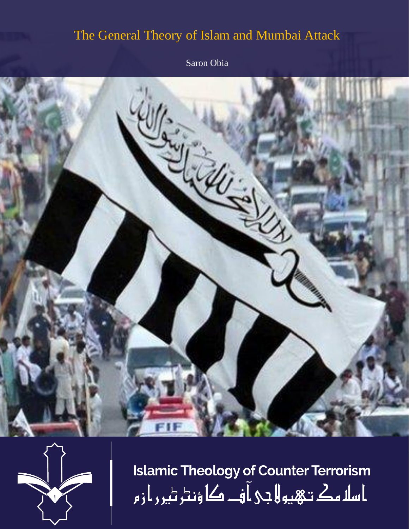## The General Theory of Islam and Mumbai Attack

Saron Obia





**Islamic Theology of Counter Terrorism** ا سلا مك تـهيو لا جي آ فــ کا ؤنٹر ٹير ر از م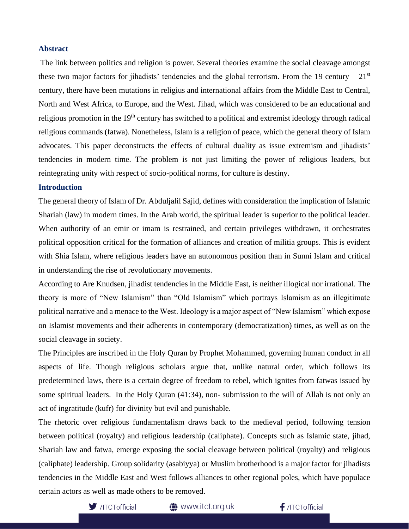## **Abstract**

The link between politics and religion is power. Several theories examine the social cleavage amongst these two major factors for jihadists' tendencies and the global terrorism. From the 19 century –  $21<sup>st</sup>$ century, there have been mutations in religius and international affairs from the Middle East to Central, North and West Africa, to Europe, and the West. Jihad, which was considered to be an educational and religious promotion in the  $19<sup>th</sup>$  century has switched to a political and extremist ideology through radical religious commands (fatwa). Nonetheless, Islam is a religion of peace, which the general theory of Islam advocates. This paper deconstructs the effects of cultural duality as issue extremism and jihadists' tendencies in modern time. The problem is not just limiting the power of religious leaders, but reintegrating unity with respect of socio-political norms, for culture is destiny.

## **Introduction**

The general theory of Islam of Dr. Abduljalil Sajid, defines with consideration the implication of Islamic Shariah (law) in modern times. In the Arab world, the spiritual leader is superior to the political leader. When authority of an emir or imam is restrained, and certain privileges withdrawn, it orchestrates political opposition critical for the formation of alliances and creation of militia groups. This is evident with Shia Islam, where religious leaders have an autonomous position than in Sunni Islam and critical in understanding the rise of revolutionary movements.

According to Are Knudsen, jihadist tendencies in the Middle East, is neither illogical nor irrational. The theory is more of "New Islamism" than "Old Islamism" which portrays Islamism as an illegitimate political narrative and a menace to the West. Ideology is a major aspect of "New Islamism" which expose on Islamist movements and their adherents in contemporary (democratization) times, as well as on the social cleavage in society.

The Principles are inscribed in the Holy Quran by Prophet Mohammed, governing human conduct in all aspects of life. Though religious scholars argue that, unlike natural order, which follows its predetermined laws, there is a certain degree of freedom to rebel, which ignites from fatwas issued by some spiritual leaders. In the Holy Quran (41:34), non- submission to the will of Allah is not only an act of ingratitude (kufr) for divinity but evil and punishable.

The rhetoric over religious fundamentalism draws back to the medieval period, following tension between political (royalty) and religious leadership (caliphate). Concepts such as Islamic state, jihad, Shariah law and fatwa, emerge exposing the social cleavage between political (royalty) and religious (caliphate) leadership. Group solidarity (asabiyya) or Muslim brotherhood is a major factor for jihadists tendencies in the Middle East and West follows alliances to other regional poles, which have populace certain actors as well as made others to be removed.



**<sup>4</sup>** www.itct.org.uk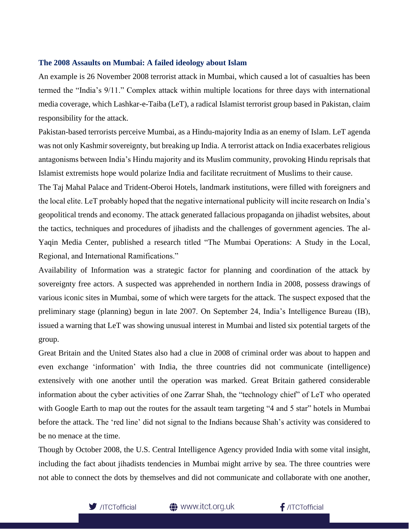## **The 2008 Assaults on Mumbai: A failed ideology about Islam**

An example is 26 November 2008 terrorist attack in Mumbai, which caused a lot of casualties has been termed the "India's 9/11." Complex attack within multiple locations for three days with international media coverage, which Lashkar-e-Taiba (LeT), a radical Islamist terrorist group based in Pakistan, claim responsibility for the attack.

Pakistan-based terrorists perceive Mumbai, as a Hindu-majority India as an enemy of Islam. LeT agenda was not only Kashmir sovereignty, but breaking up India. A terrorist attack on India exacerbates religious antagonisms between India's Hindu majority and its Muslim community, provoking Hindu reprisals that Islamist extremists hope would polarize India and facilitate recruitment of Muslims to their cause.

The Taj Mahal Palace and Trident-Oberoi Hotels, landmark institutions, were filled with foreigners and the local elite. LeT probably hoped that the negative international publicity will incite research on India's geopolitical trends and economy. The attack generated fallacious propaganda on jihadist websites, about the tactics, techniques and procedures of jihadists and the challenges of government agencies. The al-Yaqin Media Center, published a research titled "The Mumbai Operations: A Study in the Local, Regional, and International Ramifications."

Availability of Information was a strategic factor for planning and coordination of the attack by sovereignty free actors. A suspected was apprehended in northern India in 2008, possess drawings of various iconic sites in Mumbai, some of which were targets for the attack. The suspect exposed that the preliminary stage (planning) begun in late 2007. On September 24, India's Intelligence Bureau (IB), issued a warning that LeT was showing unusual interest in Mumbai and listed six potential targets of the group.

Great Britain and the United States also had a clue in 2008 of criminal order was about to happen and even exchange 'information' with India, the three countries did not communicate (intelligence) extensively with one another until the operation was marked. Great Britain gathered considerable information about the cyber activities of one Zarrar Shah, the "technology chief" of LeT who operated with Google Earth to map out the routes for the assault team targeting "4 and 5 star" hotels in Mumbai before the attack. The 'red line' did not signal to the Indians because Shah's activity was considered to be no menace at the time.

Though by October 2008, the U.S. Central Intelligence Agency provided India with some vital insight, including the fact about jihadists tendencies in Mumbai might arrive by sea. The three countries were not able to connect the dots by themselves and did not communicate and collaborate with one another,